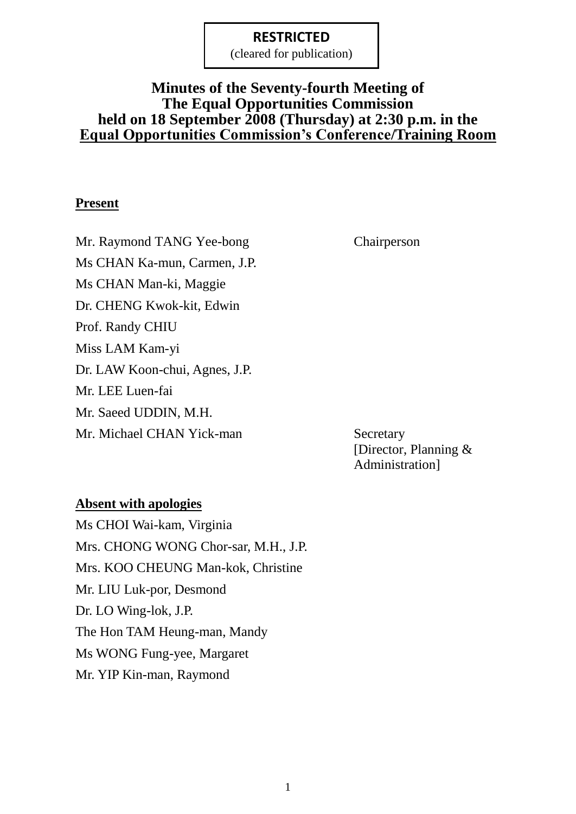(cleared for publication)

# **Minutes of the Seventy-fourth Meeting of The Equal Opportunities Commission held on 18 September 2008 (Thursday) at 2:30 p.m. in the Equal Opportunities Commission's Conference/Training Room**

## **Present**

Mr. Raymond TANG Yee-bong Chairperson Ms CHAN Ka-mun, Carmen, J.P. Ms CHAN Man-ki, Maggie Dr. CHENG Kwok-kit, Edwin Prof. Randy CHIU Miss LAM Kam-yi Dr. LAW Koon-chui, Agnes, J.P. Mr. LEE Luen-fai Mr. Saeed UDDIN, M.H. Mr. Michael CHAN Yick-man Secretary

[Director, Planning & Administration]

#### **Absent with apologies**

Ms CHOI Wai-kam, Virginia Mrs. CHONG WONG Chor-sar, M.H., J.P. Mrs. KOO CHEUNG Man-kok, Christine Mr. LIU Luk-por, Desmond Dr. LO Wing-lok, J.P. The Hon TAM Heung-man, Mandy Ms WONG Fung-yee, Margaret Mr. YIP Kin-man, Raymond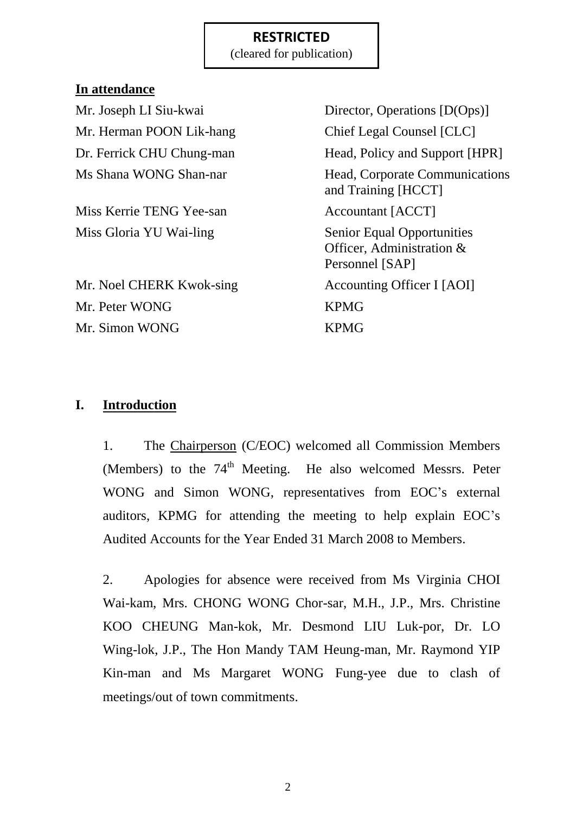(cleared for publication)

## **In attendance**

Mr. Herman POON Lik-hang Chief Legal Counsel [CLC]

Miss Kerrie TENG Yee-san Accountant [ACCT] Miss Gloria YU Wai-ling Senior Equal Opportunities

Mr. Noel CHERK Kwok-sing Accounting Officer I [AOI] Mr. Peter WONG KPMG Mr. Simon WONG KPMG

Mr. Joseph LI Siu-kwai Director, Operations [D(Ops)] Dr. Ferrick CHU Chung-man Head, Policy and Support [HPR] Ms Shana WONG Shan-nar Head, Corporate Communications and Training [HCCT] Officer, Administration & Personnel [SAP]

# **I. Introduction**

1. The Chairperson (C/EOC) welcomed all Commission Members (Members) to the  $74<sup>th</sup>$  Meeting. He also welcomed Messrs. Peter WONG and Simon WONG, representatives from EOC's external auditors, KPMG for attending the meeting to help explain EOC"s Audited Accounts for the Year Ended 31 March 2008 to Members.

2. Apologies for absence were received from Ms Virginia CHOI Wai-kam, Mrs. CHONG WONG Chor-sar, M.H., J.P., Mrs. Christine KOO CHEUNG Man-kok, Mr. Desmond LIU Luk-por, Dr. LO Wing-lok, J.P., The Hon Mandy TAM Heung-man, Mr. Raymond YIP Kin-man and Ms Margaret WONG Fung-yee due to clash of meetings/out of town commitments.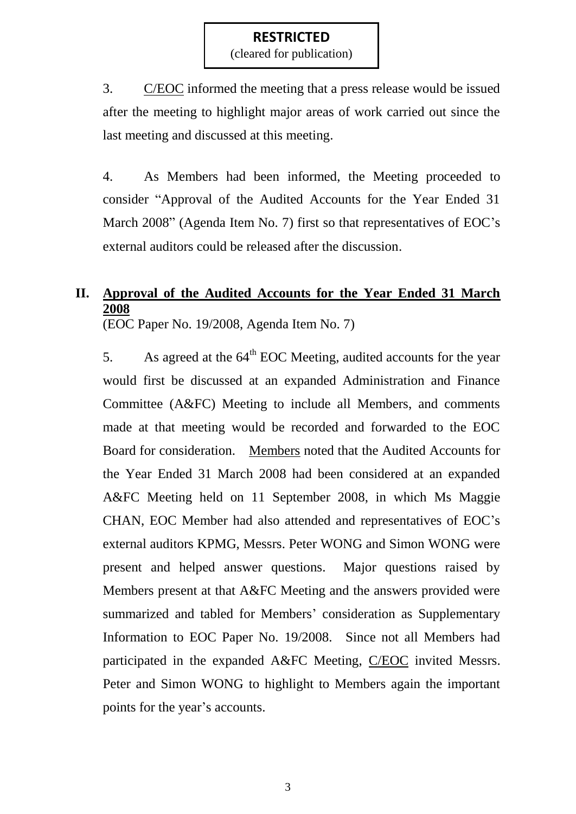(cleared for publication)

3. C/EOC informed the meeting that a press release would be issued after the meeting to highlight major areas of work carried out since the last meeting and discussed at this meeting.

4. As Members had been informed, the Meeting proceeded to consider "Approval of the Audited Accounts for the Year Ended 31 March 2008" (Agenda Item No. 7) first so that representatives of EOC's external auditors could be released after the discussion.

# **II. Approval of the Audited Accounts for the Year Ended 31 March 2008**

(EOC Paper No. 19/2008, Agenda Item No. 7)

5. As agreed at the  $64<sup>th</sup>$  EOC Meeting, audited accounts for the year would first be discussed at an expanded Administration and Finance Committee (A&FC) Meeting to include all Members, and comments made at that meeting would be recorded and forwarded to the EOC Board for consideration. Members noted that the Audited Accounts for the Year Ended 31 March 2008 had been considered at an expanded A&FC Meeting held on 11 September 2008, in which Ms Maggie CHAN, EOC Member had also attended and representatives of EOC"s external auditors KPMG, Messrs. Peter WONG and Simon WONG were present and helped answer questions. Major questions raised by Members present at that A&FC Meeting and the answers provided were summarized and tabled for Members' consideration as Supplementary Information to EOC Paper No. 19/2008. Since not all Members had participated in the expanded A&FC Meeting, C/EOC invited Messrs. Peter and Simon WONG to highlight to Members again the important points for the year's accounts.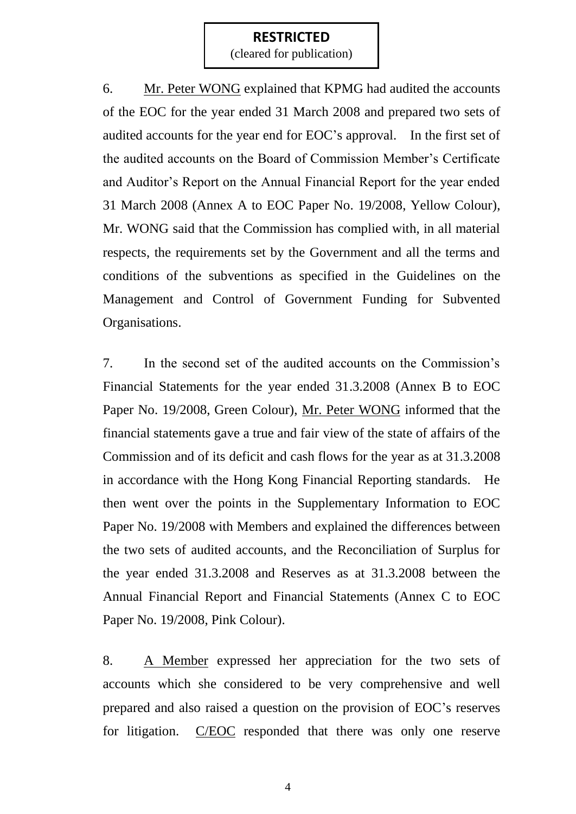(cleared for publication)

6. Mr. Peter WONG explained that KPMG had audited the accounts of the EOC for the year ended 31 March 2008 and prepared two sets of audited accounts for the year end for EOC"s approval. In the first set of the audited accounts on the Board of Commission Member"s Certificate and Auditor"s Report on the Annual Financial Report for the year ended 31 March 2008 (Annex A to EOC Paper No. 19/2008, Yellow Colour), Mr. WONG said that the Commission has complied with, in all material respects, the requirements set by the Government and all the terms and conditions of the subventions as specified in the Guidelines on the Management and Control of Government Funding for Subvented Organisations.

7. In the second set of the audited accounts on the Commission"s Financial Statements for the year ended 31.3.2008 (Annex B to EOC Paper No. 19/2008, Green Colour), Mr. Peter WONG informed that the financial statements gave a true and fair view of the state of affairs of the Commission and of its deficit and cash flows for the year as at 31.3.2008 in accordance with the Hong Kong Financial Reporting standards. He then went over the points in the Supplementary Information to EOC Paper No. 19/2008 with Members and explained the differences between the two sets of audited accounts, and the Reconciliation of Surplus for the year ended 31.3.2008 and Reserves as at 31.3.2008 between the Annual Financial Report and Financial Statements (Annex C to EOC Paper No. 19/2008, Pink Colour).

8. A Member expressed her appreciation for the two sets of accounts which she considered to be very comprehensive and well prepared and also raised a question on the provision of EOC"s reserves for litigation. C/EOC responded that there was only one reserve

4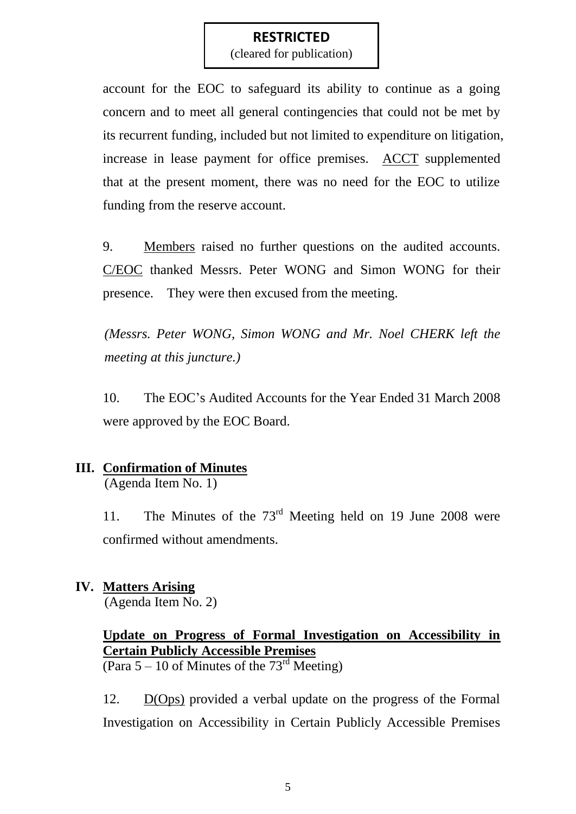(cleared for publication)

account for the EOC to safeguard its ability to continue as a going concern and to meet all general contingencies that could not be met by its recurrent funding, included but not limited to expenditure on litigation, increase in lease payment for office premises. ACCT supplemented that at the present moment, there was no need for the EOC to utilize funding from the reserve account.

9. Members raised no further questions on the audited accounts. C/EOC thanked Messrs. Peter WONG and Simon WONG for their presence. They were then excused from the meeting.

*(Messrs. Peter WONG, Simon WONG and Mr. Noel CHERK left the meeting at this juncture.)*

10. The EOC"s Audited Accounts for the Year Ended 31 March 2008 were approved by the EOC Board.

# **III. Confirmation of Minutes**

(Agenda Item No. 1)

11. The Minutes of the 73<sup>rd</sup> Meeting held on 19 June 2008 were confirmed without amendments.

# **IV. Matters Arising**

(Agenda Item No. 2)

# **Update on Progress of Formal Investigation on Accessibility in Certain Publicly Accessible Premises**

(Para  $5 - 10$  of Minutes of the  $73<sup>rd</sup>$  Meeting)

12. D(Ops) provided a verbal update on the progress of the Formal Investigation on Accessibility in Certain Publicly Accessible Premises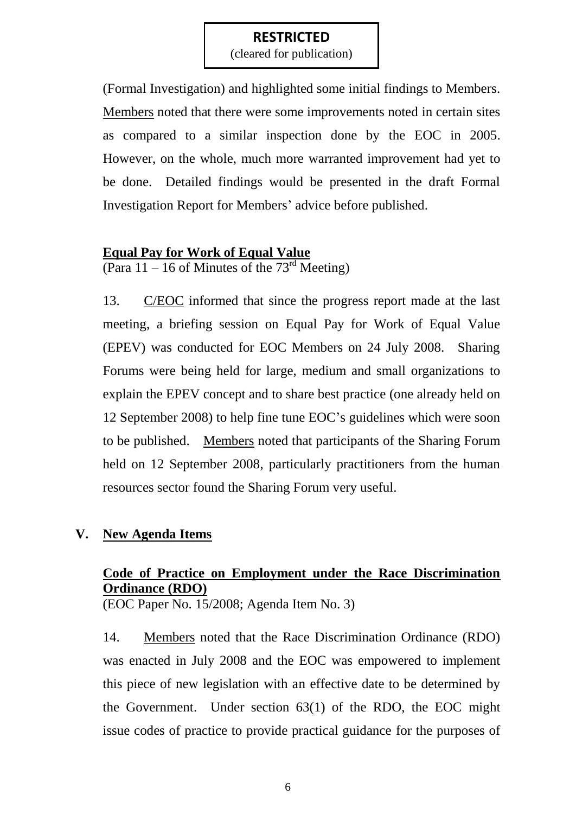(cleared for publication)

(Formal Investigation) and highlighted some initial findings to Members. Members noted that there were some improvements noted in certain sites as compared to a similar inspection done by the EOC in 2005. However, on the whole, much more warranted improvement had yet to be done. Detailed findings would be presented in the draft Formal Investigation Report for Members" advice before published.

## **Equal Pay for Work of Equal Value**

(Para 11 – 16 of Minutes of the  $73<sup>rd</sup>$  Meeting)

13. C/EOC informed that since the progress report made at the last meeting, a briefing session on Equal Pay for Work of Equal Value (EPEV) was conducted for EOC Members on 24 July 2008. Sharing Forums were being held for large, medium and small organizations to explain the EPEV concept and to share best practice (one already held on 12 September 2008) to help fine tune EOC"s guidelines which were soon to be published. Members noted that participants of the Sharing Forum held on 12 September 2008, particularly practitioners from the human resources sector found the Sharing Forum very useful.

# **V. New Agenda Items**

# **Code of Practice on Employment under the Race Discrimination Ordinance (RDO)**

(EOC Paper No. 15/2008; Agenda Item No. 3)

14. Members noted that the Race Discrimination Ordinance (RDO) was enacted in July 2008 and the EOC was empowered to implement this piece of new legislation with an effective date to be determined by the Government. Under section 63(1) of the RDO, the EOC might issue codes of practice to provide practical guidance for the purposes of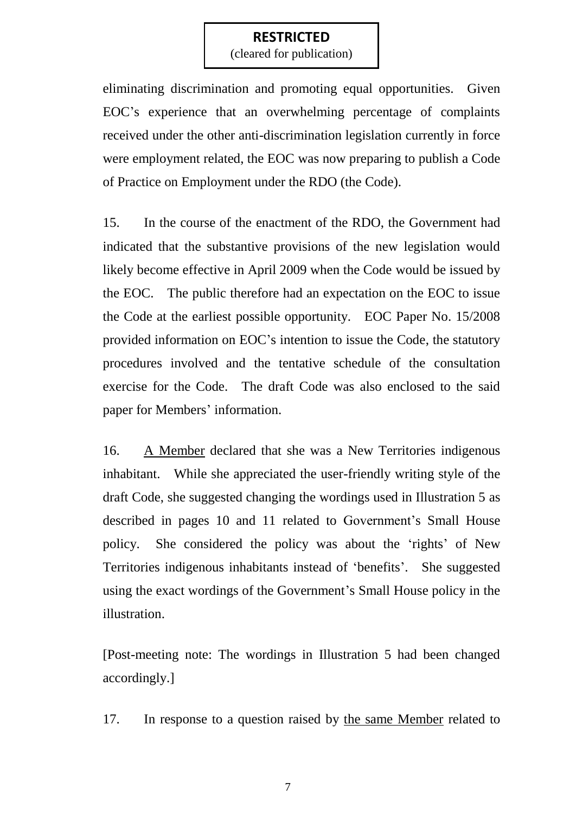(cleared for publication)

eliminating discrimination and promoting equal opportunities. Given EOC"s experience that an overwhelming percentage of complaints received under the other anti-discrimination legislation currently in force were employment related, the EOC was now preparing to publish a Code of Practice on Employment under the RDO (the Code).

15. In the course of the enactment of the RDO, the Government had indicated that the substantive provisions of the new legislation would likely become effective in April 2009 when the Code would be issued by the EOC. The public therefore had an expectation on the EOC to issue the Code at the earliest possible opportunity. EOC Paper No. 15/2008 provided information on EOC"s intention to issue the Code, the statutory procedures involved and the tentative schedule of the consultation exercise for the Code. The draft Code was also enclosed to the said paper for Members' information.

16. A Member declared that she was a New Territories indigenous inhabitant. While she appreciated the user-friendly writing style of the draft Code, she suggested changing the wordings used in Illustration 5 as described in pages 10 and 11 related to Government's Small House policy. She considered the policy was about the "rights" of New Territories indigenous inhabitants instead of 'benefits'. She suggested using the exact wordings of the Government's Small House policy in the illustration.

[Post-meeting note: The wordings in Illustration 5 had been changed accordingly.]

17. In response to a question raised by the same Member related to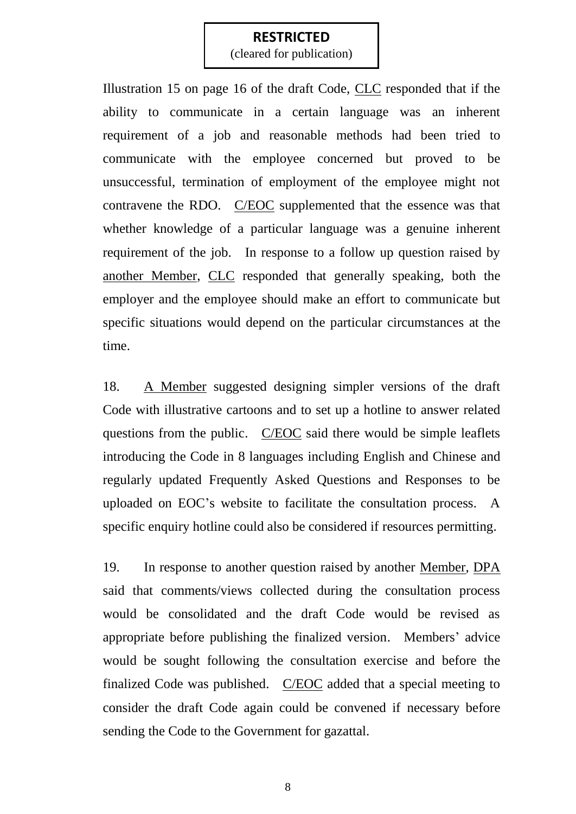(cleared for publication)

Illustration 15 on page 16 of the draft Code, CLC responded that if the ability to communicate in a certain language was an inherent requirement of a job and reasonable methods had been tried to communicate with the employee concerned but proved to be unsuccessful, termination of employment of the employee might not contravene the RDO. C/EOC supplemented that the essence was that whether knowledge of a particular language was a genuine inherent requirement of the job. In response to a follow up question raised by another Member, CLC responded that generally speaking, both the employer and the employee should make an effort to communicate but specific situations would depend on the particular circumstances at the time.

18. A Member suggested designing simpler versions of the draft Code with illustrative cartoons and to set up a hotline to answer related questions from the public. C/EOC said there would be simple leaflets introducing the Code in 8 languages including English and Chinese and regularly updated Frequently Asked Questions and Responses to be uploaded on EOC"s website to facilitate the consultation process. A specific enquiry hotline could also be considered if resources permitting.

19. In response to another question raised by another Member, DPA said that comments/views collected during the consultation process would be consolidated and the draft Code would be revised as appropriate before publishing the finalized version. Members' advice would be sought following the consultation exercise and before the finalized Code was published. C/EOC added that a special meeting to consider the draft Code again could be convened if necessary before sending the Code to the Government for gazattal.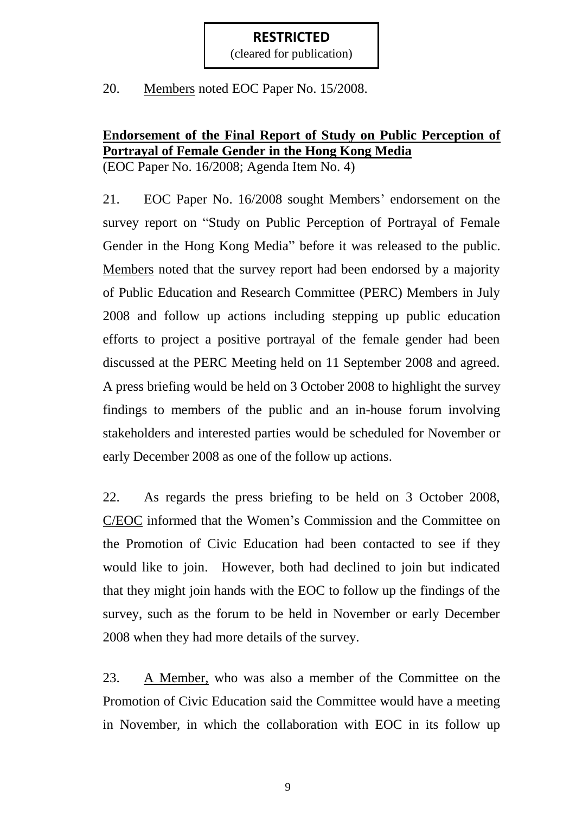(cleared for publication)

20. Members noted EOC Paper No. 15/2008.

# **Endorsement of the Final Report of Study on Public Perception of Portrayal of Female Gender in the Hong Kong Media**

(EOC Paper No. 16/2008; Agenda Item No. 4)

21. EOC Paper No. 16/2008 sought Members' endorsement on the survey report on "Study on Public Perception of Portrayal of Female Gender in the Hong Kong Media" before it was released to the public. Members noted that the survey report had been endorsed by a majority of Public Education and Research Committee (PERC) Members in July 2008 and follow up actions including stepping up public education efforts to project a positive portrayal of the female gender had been discussed at the PERC Meeting held on 11 September 2008 and agreed. A press briefing would be held on 3 October 2008 to highlight the survey findings to members of the public and an in-house forum involving stakeholders and interested parties would be scheduled for November or early December 2008 as one of the follow up actions.

22. As regards the press briefing to be held on 3 October 2008, C/EOC informed that the Women"s Commission and the Committee on the Promotion of Civic Education had been contacted to see if they would like to join. However, both had declined to join but indicated that they might join hands with the EOC to follow up the findings of the survey, such as the forum to be held in November or early December 2008 when they had more details of the survey.

23. A Member, who was also a member of the Committee on the Promotion of Civic Education said the Committee would have a meeting in November, in which the collaboration with EOC in its follow up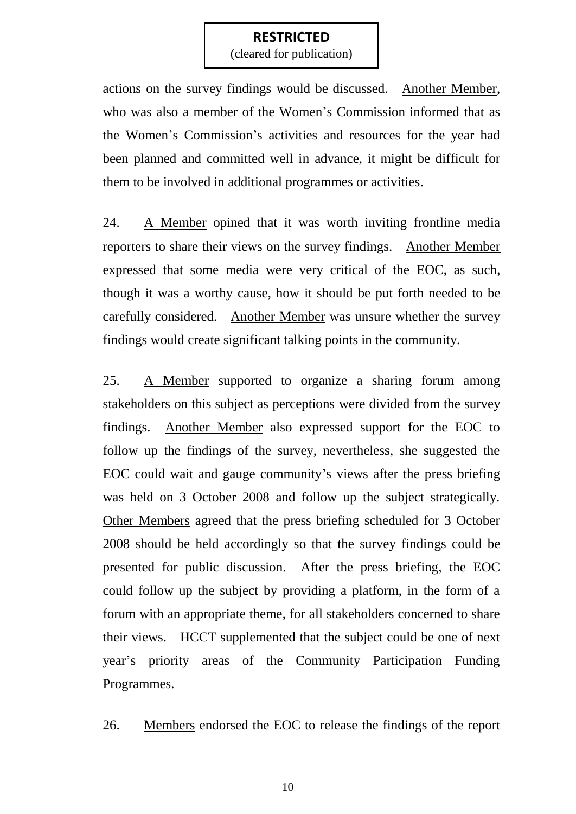(cleared for publication)

actions on the survey findings would be discussed. Another Member, who was also a member of the Women"s Commission informed that as the Women"s Commission"s activities and resources for the year had been planned and committed well in advance, it might be difficult for them to be involved in additional programmes or activities.

24. A Member opined that it was worth inviting frontline media reporters to share their views on the survey findings. Another Member expressed that some media were very critical of the EOC, as such, though it was a worthy cause, how it should be put forth needed to be carefully considered. Another Member was unsure whether the survey findings would create significant talking points in the community.

25. A Member supported to organize a sharing forum among stakeholders on this subject as perceptions were divided from the survey findings. Another Member also expressed support for the EOC to follow up the findings of the survey, nevertheless, she suggested the EOC could wait and gauge community"s views after the press briefing was held on 3 October 2008 and follow up the subject strategically. Other Members agreed that the press briefing scheduled for 3 October 2008 should be held accordingly so that the survey findings could be presented for public discussion. After the press briefing, the EOC could follow up the subject by providing a platform, in the form of a forum with an appropriate theme, for all stakeholders concerned to share their views. HCCT supplemented that the subject could be one of next year"s priority areas of the Community Participation Funding Programmes.

26. Members endorsed the EOC to release the findings of the report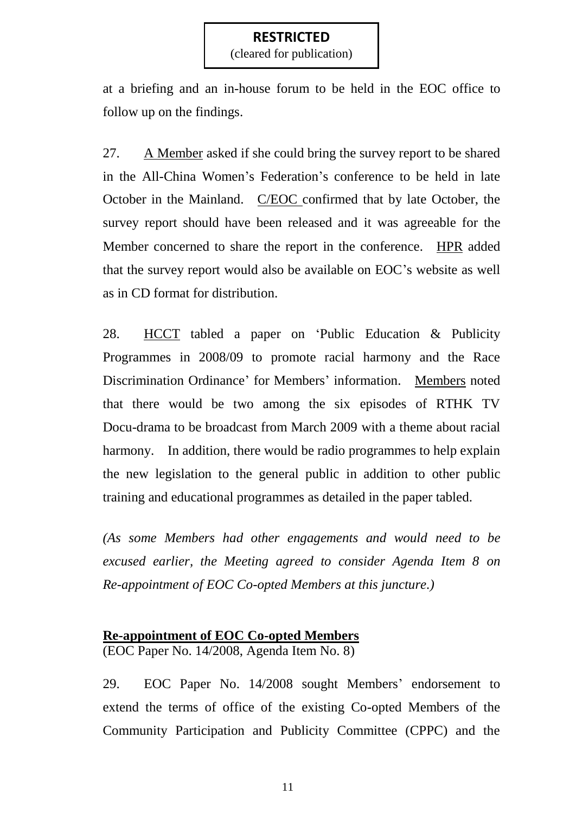(cleared for publication)

at a briefing and an in-house forum to be held in the EOC office to follow up on the findings.

27. A Member asked if she could bring the survey report to be shared in the All-China Women"s Federation"s conference to be held in late October in the Mainland. C/EOC confirmed that by late October, the survey report should have been released and it was agreeable for the Member concerned to share the report in the conference. HPR added that the survey report would also be available on EOC"s website as well as in CD format for distribution.

28. HCCT tabled a paper on "Public Education & Publicity Programmes in 2008/09 to promote racial harmony and the Race Discrimination Ordinance" for Members" information. Members noted that there would be two among the six episodes of RTHK TV Docu-drama to be broadcast from March 2009 with a theme about racial harmony. In addition, there would be radio programmes to help explain the new legislation to the general public in addition to other public training and educational programmes as detailed in the paper tabled.

*(As some Members had other engagements and would need to be excused earlier, the Meeting agreed to consider Agenda Item 8 on Re-appointment of EOC Co-opted Members at this juncture.)*

# **Re-appointment of EOC Co-opted Members**

(EOC Paper No. 14/2008, Agenda Item No. 8)

29. EOC Paper No. 14/2008 sought Members' endorsement to extend the terms of office of the existing Co-opted Members of the Community Participation and Publicity Committee (CPPC) and the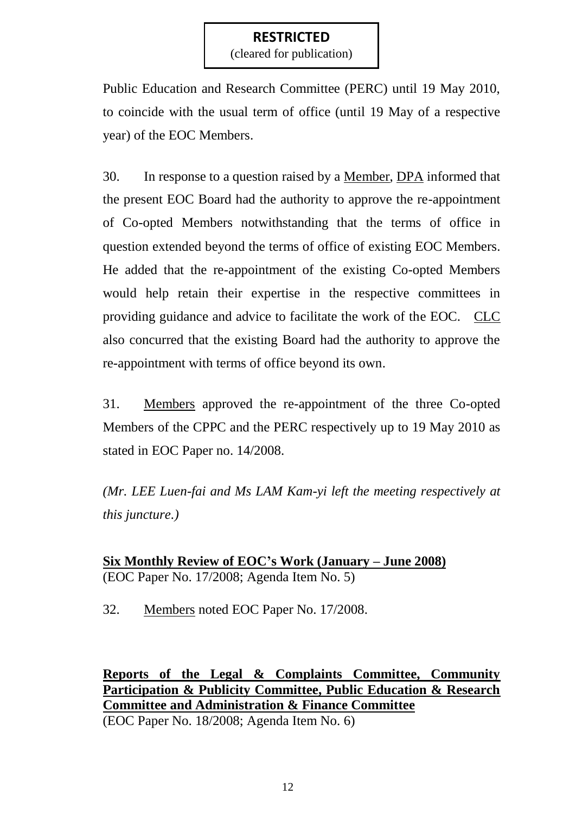(cleared for publication)

Public Education and Research Committee (PERC) until 19 May 2010, to coincide with the usual term of office (until 19 May of a respective year) of the EOC Members.

30. In response to a question raised by a Member, DPA informed that the present EOC Board had the authority to approve the re-appointment of Co-opted Members notwithstanding that the terms of office in question extended beyond the terms of office of existing EOC Members. He added that the re-appointment of the existing Co-opted Members would help retain their expertise in the respective committees in providing guidance and advice to facilitate the work of the EOC. CLC also concurred that the existing Board had the authority to approve the re-appointment with terms of office beyond its own.

31. Members approved the re-appointment of the three Co-opted Members of the CPPC and the PERC respectively up to 19 May 2010 as stated in EOC Paper no. 14/2008.

*(Mr. LEE Luen-fai and Ms LAM Kam-yi left the meeting respectively at this juncture.)*

**Six Monthly Review of EOC's Work (January – June 2008)** (EOC Paper No. 17/2008; Agenda Item No. 5)

32. Members noted EOC Paper No. 17/2008.

**Reports of the Legal & Complaints Committee, Community Participation & Publicity Committee, Public Education & Research Committee and Administration & Finance Committee**

(EOC Paper No. 18/2008; Agenda Item No. 6)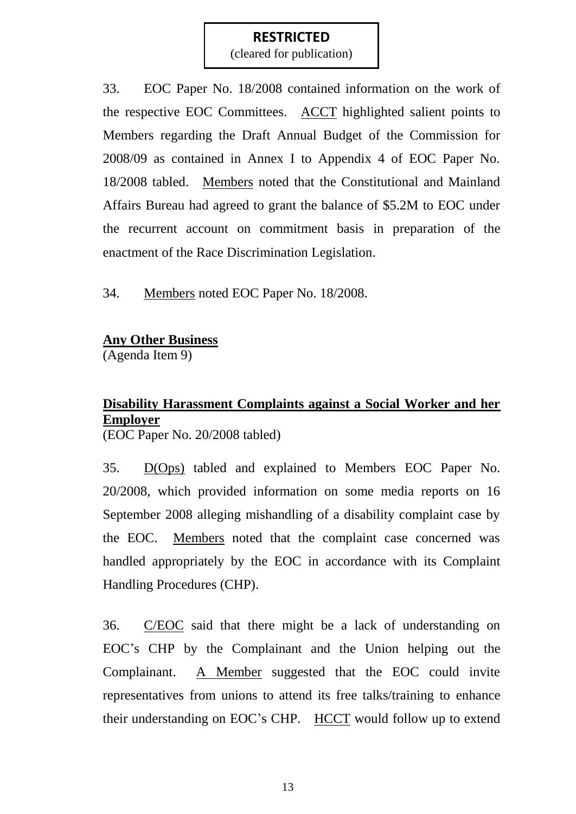(cleared for publication)

33. EOC Paper No. 18/2008 contained information on the work of the respective EOC Committees. ACCT highlighted salient points to Members regarding the Draft Annual Budget of the Commission for 2008/09 as contained in Annex I to Appendix 4 of EOC Paper No. 18/2008 tabled. Members noted that the Constitutional and Mainland Affairs Bureau had agreed to grant the balance of \$5.2M to EOC under the recurrent account on commitment basis in preparation of the enactment of the Race Discrimination Legislation.

34. Members noted EOC Paper No. 18/2008.

# **Any Other Business**

(Agenda Item 9)

# **Disability Harassment Complaints against a Social Worker and her Employer**

(EOC Paper No. 20/2008 tabled)

35. D(Ops) tabled and explained to Members EOC Paper No. 20/2008, which provided information on some media reports on 16 September 2008 alleging mishandling of a disability complaint case by the EOC. Members noted that the complaint case concerned was handled appropriately by the EOC in accordance with its Complaint Handling Procedures (CHP).

36. C/EOC said that there might be a lack of understanding on EOC"s CHP by the Complainant and the Union helping out the Complainant. A Member suggested that the EOC could invite representatives from unions to attend its free talks/training to enhance their understanding on EOC"s CHP. HCCT would follow up to extend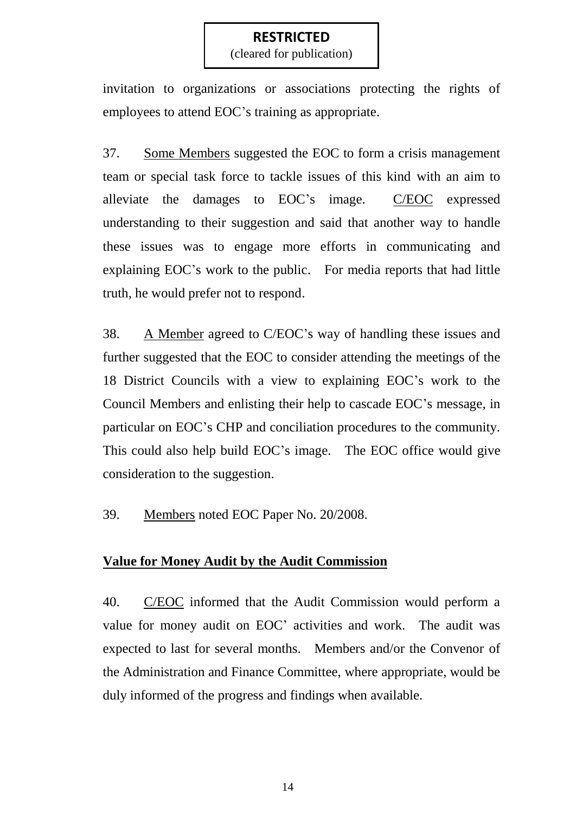(cleared for publication)

invitation to organizations or associations protecting the rights of employees to attend EOC"s training as appropriate.

37. Some Members suggested the EOC to form a crisis management team or special task force to tackle issues of this kind with an aim to alleviate the damages to EOC"s image. C/EOC expressed understanding to their suggestion and said that another way to handle these issues was to engage more efforts in communicating and explaining EOC"s work to the public. For media reports that had little truth, he would prefer not to respond.

38. A Member agreed to C/EOC"s way of handling these issues and further suggested that the EOC to consider attending the meetings of the 18 District Councils with a view to explaining EOC"s work to the Council Members and enlisting their help to cascade EOC"s message, in particular on EOC"s CHP and conciliation procedures to the community. This could also help build EOC"s image. The EOC office would give consideration to the suggestion.

39. Members noted EOC Paper No. 20/2008.

#### **Value for Money Audit by the Audit Commission**

40. C/EOC informed that the Audit Commission would perform a value for money audit on EOC' activities and work. The audit was expected to last for several months. Members and/or the Convenor of the Administration and Finance Committee, where appropriate, would be duly informed of the progress and findings when available.